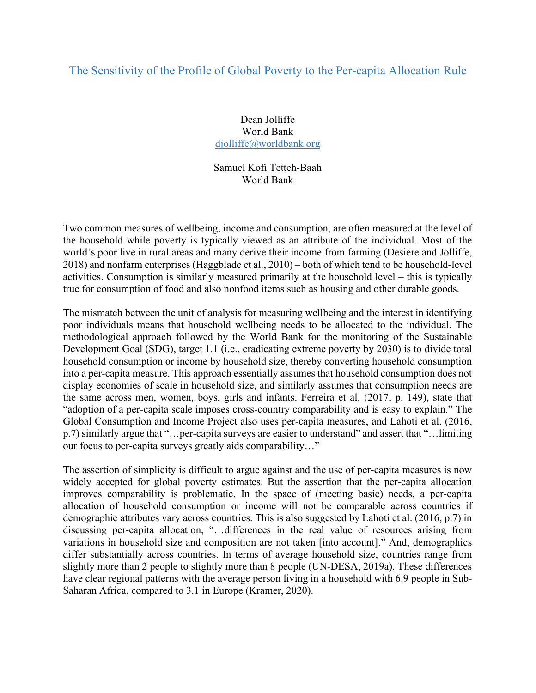## The Sensitivity of the Profile of Global Poverty to the Per-capita Allocation Rule

Dean Jolliffe World Bank djolliffe@worldbank.org

Samuel Kofi Tetteh-Baah World Bank

Two common measures of wellbeing, income and consumption, are often measured at the level of the household while poverty is typically viewed as an attribute of the individual. Most of the world's poor live in rural areas and many derive their income from farming (Desiere and Jolliffe, 2018) and nonfarm enterprises (Haggblade et al., 2010) – both of which tend to be household-level activities. Consumption is similarly measured primarily at the household level – this is typically true for consumption of food and also nonfood items such as housing and other durable goods.

The mismatch between the unit of analysis for measuring wellbeing and the interest in identifying poor individuals means that household wellbeing needs to be allocated to the individual. The methodological approach followed by the World Bank for the monitoring of the Sustainable Development Goal (SDG), target 1.1 (i.e., eradicating extreme poverty by 2030) is to divide total household consumption or income by household size, thereby converting household consumption into a per-capita measure. This approach essentially assumes that household consumption does not display economies of scale in household size, and similarly assumes that consumption needs are the same across men, women, boys, girls and infants. Ferreira et al. (2017, p. 149), state that "adoption of a per-capita scale imposes cross-country comparability and is easy to explain." The Global Consumption and Income Project also uses per-capita measures, and Lahoti et al. (2016, p.7) similarly argue that "…per-capita surveys are easier to understand" and assert that "…limiting our focus to per-capita surveys greatly aids comparability…"

The assertion of simplicity is difficult to argue against and the use of per-capita measures is now widely accepted for global poverty estimates. But the assertion that the per-capita allocation improves comparability is problematic. In the space of (meeting basic) needs, a per-capita allocation of household consumption or income will not be comparable across countries if demographic attributes vary across countries. This is also suggested by Lahoti et al. (2016, p.7) in discussing per-capita allocation, "…differences in the real value of resources arising from variations in household size and composition are not taken [into account]." And, demographics differ substantially across countries. In terms of average household size, countries range from slightly more than 2 people to slightly more than 8 people (UN-DESA, 2019a). These differences have clear regional patterns with the average person living in a household with 6.9 people in Sub-Saharan Africa, compared to 3.1 in Europe (Kramer, 2020).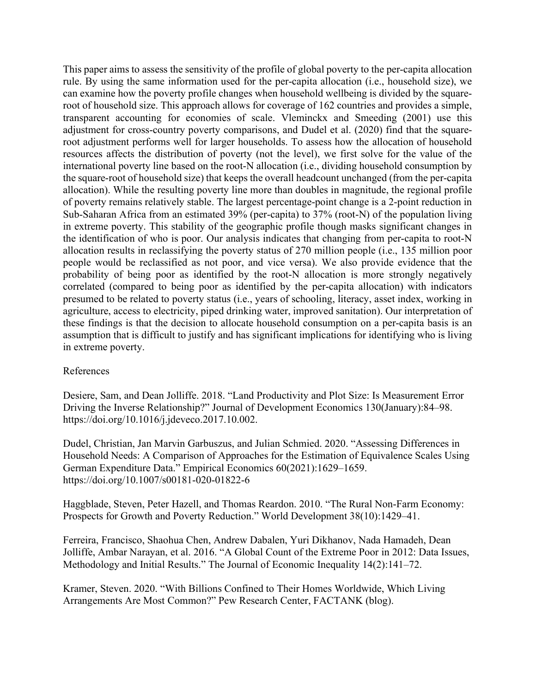This paper aims to assess the sensitivity of the profile of global poverty to the per-capita allocation rule. By using the same information used for the per-capita allocation (i.e., household size), we can examine how the poverty profile changes when household wellbeing is divided by the squareroot of household size. This approach allows for coverage of 162 countries and provides a simple, transparent accounting for economies of scale. Vleminckx and Smeeding (2001) use this adjustment for cross-country poverty comparisons, and Dudel et al. (2020) find that the squareroot adjustment performs well for larger households. To assess how the allocation of household resources affects the distribution of poverty (not the level), we first solve for the value of the international poverty line based on the root-N allocation (i.e., dividing household consumption by the square-root of household size) that keeps the overall headcount unchanged (from the per-capita allocation). While the resulting poverty line more than doubles in magnitude, the regional profile of poverty remains relatively stable. The largest percentage-point change is a 2-point reduction in Sub-Saharan Africa from an estimated 39% (per-capita) to 37% (root-N) of the population living in extreme poverty. This stability of the geographic profile though masks significant changes in the identification of who is poor. Our analysis indicates that changing from per-capita to root-N allocation results in reclassifying the poverty status of 270 million people (i.e., 135 million poor people would be reclassified as not poor, and vice versa). We also provide evidence that the probability of being poor as identified by the root-N allocation is more strongly negatively correlated (compared to being poor as identified by the per-capita allocation) with indicators presumed to be related to poverty status (i.e., years of schooling, literacy, asset index, working in agriculture, access to electricity, piped drinking water, improved sanitation). Our interpretation of these findings is that the decision to allocate household consumption on a per-capita basis is an assumption that is difficult to justify and has significant implications for identifying who is living in extreme poverty.

## References

Desiere, Sam, and Dean Jolliffe. 2018. "Land Productivity and Plot Size: Is Measurement Error Driving the Inverse Relationship?" Journal of Development Economics 130(January):84–98. https://doi.org/10.1016/j.jdeveco.2017.10.002.

Dudel, Christian, Jan Marvin Garbuszus, and Julian Schmied. 2020. "Assessing Differences in Household Needs: A Comparison of Approaches for the Estimation of Equivalence Scales Using German Expenditure Data." Empirical Economics 60(2021):1629–1659. https://doi.org/10.1007/s00181-020-01822-6

Haggblade, Steven, Peter Hazell, and Thomas Reardon. 2010. "The Rural Non-Farm Economy: Prospects for Growth and Poverty Reduction." World Development 38(10):1429–41.

Ferreira, Francisco, Shaohua Chen, Andrew Dabalen, Yuri Dikhanov, Nada Hamadeh, Dean Jolliffe, Ambar Narayan, et al. 2016. "A Global Count of the Extreme Poor in 2012: Data Issues, Methodology and Initial Results." The Journal of Economic Inequality 14(2):141–72.

Kramer, Steven. 2020. "With Billions Confined to Their Homes Worldwide, Which Living Arrangements Are Most Common?" Pew Research Center, FACTANK (blog).